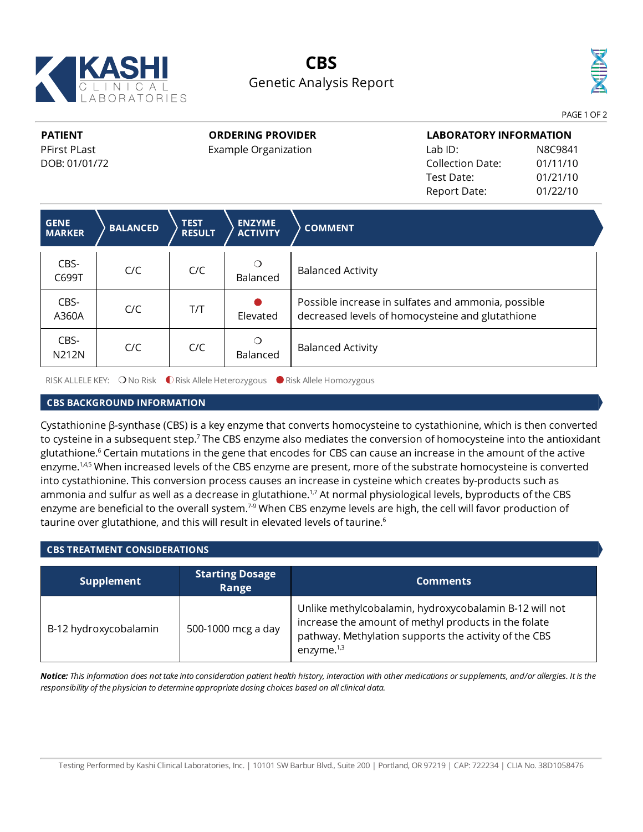

# **CBS** Genetic Analysis Report



**PATIENT** PFirst PLast DOB: 01/01/72 **ORDERING PROVIDER**

Example Organization

**LABORATORY INFORMATION** Lab ID: N8C9841 Collection Date: 01/11/10 Test Date: 01/21/10 Report Date: 01/22/10

| <b>GENE</b><br><b>MARKER</b> | <b>BALANCED</b> | <b>TEST</b><br><b>RESULT</b> | <b>ENZYME</b><br><b>ACTIVITY</b> | <b>COMMENT</b>                                                                                          |
|------------------------------|-----------------|------------------------------|----------------------------------|---------------------------------------------------------------------------------------------------------|
| CBS-<br>C699T                | C/C             | C/C                          | Balanced                         | <b>Balanced Activity</b>                                                                                |
| CBS-<br>A360A                | C/C             | T/T                          | Elevated                         | Possible increase in sulfates and ammonia, possible<br>decreased levels of homocysteine and glutathione |
| CBS-<br>N212N                | C/C             | C/C                          | Balanced                         | <b>Balanced Activity</b>                                                                                |

RISK ALLELE KEY: ○ No Risk ● Risk Allele Heterozygous ● Risk Allele Homozygous

### **CBS BACKGROUND INFORMATION**

Cystathionine β-synthase (CBS) is a key enzyme that converts homocysteine to cystathionine, which is then converted to cysteine in a subsequent step.<sup>7</sup> The CBS enzyme also mediates the conversion of homocysteine into the antioxidant glutathione. <sup>6</sup> Certain mutations in the gene that encodes for CBS can cause an increase in the amount of the active enzyme.<sup>1,4,5</sup> When increased levels of the CBS enzyme are present, more of the substrate homocysteine is converted into cystathionine. This conversion process causes an increase in cysteine which creates by-products such as ammonia and sulfur as well as a decrease in glutathione.<sup>1,7</sup> At normal physiological levels, byproducts of the CBS enzyme are beneficial to the overall system.<sup>7-9</sup> When CBS enzyme levels are high, the cell will favor production of taurine over glutathione, and this will result in elevated levels of taurine.<sup>6</sup>

## **CBS TREATMENT CONSIDERATIONS**

| <b>Supplement</b>     | <b>Starting Dosage</b><br>Range | <b>Comments</b>                                                                                                                                                                          |
|-----------------------|---------------------------------|------------------------------------------------------------------------------------------------------------------------------------------------------------------------------------------|
| B-12 hydroxycobalamin | 500-1000 mcg a day              | Unlike methylcobalamin, hydroxycobalamin B-12 will not<br>increase the amount of methyl products in the folate<br>pathway. Methylation supports the activity of the CBS<br>enzyme. $1,3$ |

Notice: This information does not take into consideration patient health history, interaction with other medications or supplements, and/or allergies. It is the *responsibility of the physician to determine appropriate dosing choices based on allclinical data.*